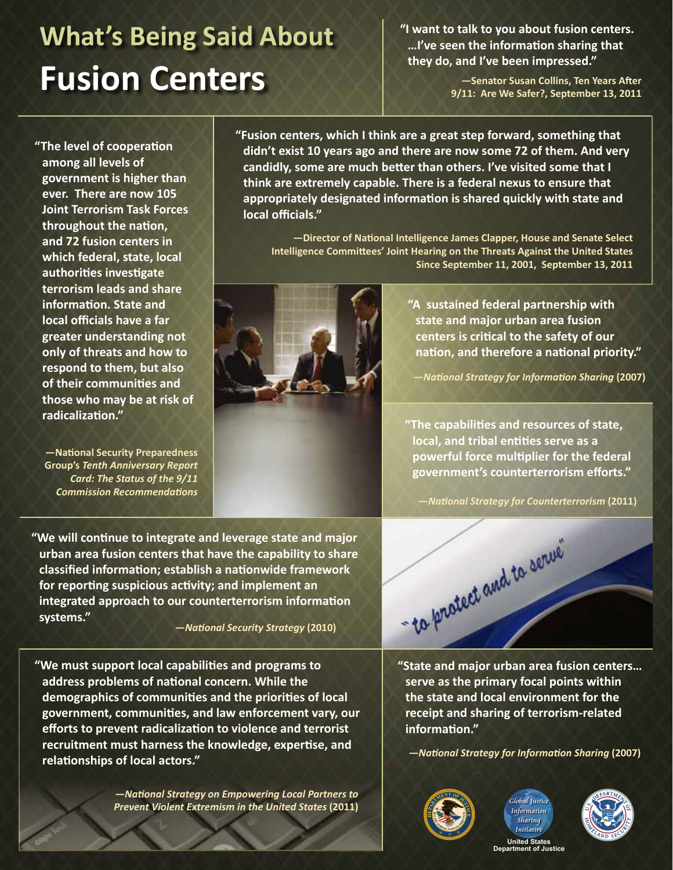## **What's Being Said About Fusion Centers**

**"I want to talk to you about fusion centers. …I've seen the information sharing that they do, and I've been impressed."**

> **—Senator Susan Collins, Ten Years After 9/11: Are We Safer?, September 13, 2011**

**"The level of cooperation among all levels of government is higher than ever. There are now 105 Joint Terrorism Task Forces throughout the nation, and 72 fusion centers in which federal, state, local authorities investigate terrorism leads and share information. State and local officials have a far greater understanding not only of threats and how to respond to them, but also of their communities and those who may be at risk of radicalization."**

**—National Security Preparedness Group's** *Tenth Anniversary Report Card: The Status of the 9/11 Commission Recommendations*

**"Fusion centers, which I think are a great step forward, something that didn't exist 10 years ago and there are now some 72 of them. And very candidly, some are much better than others. I've visited some that I think are extremely capable. There is a federal nexus to ensure that appropriately designated information is shared quickly with state and local officials."**

**—Director of National Intelligence James Clapper, House and Senate Select Intelligence Committees' Joint Hearing on the Threats Against the United States Since September 11, 2001, September 13, 2011**



**"A sustained federal partnership with state and major urban area fusion centers is critical to the safety of our nation, and therefore a national priority."**

**—***National Strategy for Information Sharing* **(2007)**

**"The capabilities and resources of state, local, and tribal entities serve as a powerful force multiplier for the federal government's counterterrorism efforts."**

**—***National Strategy for Counterterrorism* **(2011)**

**"We will continue to integrate and leverage state and major urban area fusion centers that have the capability to share classified information; establish a nationwide framework for reporting suspicious activity; and implement an integrated approach to our counterterrorism information systems." —***National Security Strategy* **(2010)**

**"We must support local capabilities and programs to address problems of national concern. While the demographics of communities and the priorities of local government, communities, and law enforcement vary, our efforts to prevent radicalization to violence and terrorist recruitment must harness the knowledge, expertise, and relationships of local actors."**

> **—***National Strategy on Empowering Local Partners to Prevent Violent Extremism in the United States* **(2011)**



**"State and major urban area fusion centers… serve as the primary focal points within the state and local environment for the receipt and sharing of terrorism-related information."**

**—***National Strategy for Information Sharing* **(2007)**







**United States Department of Justice**